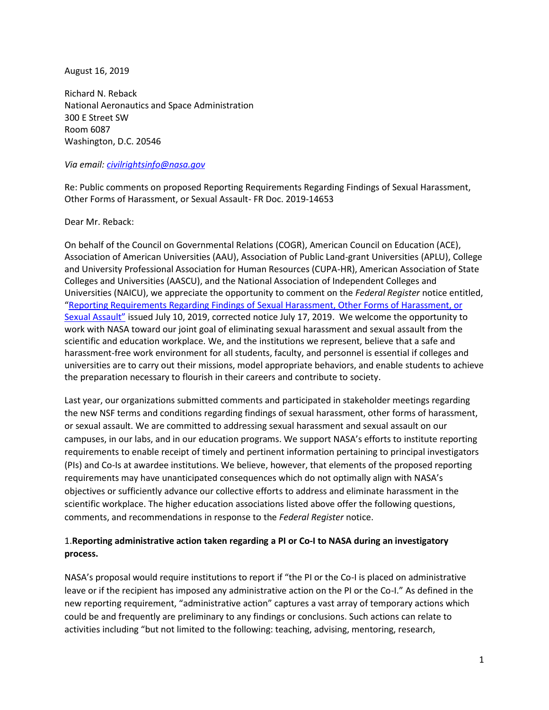August 16, 2019

Richard N. Reback National Aeronautics and Space Administration 300 E Street SW Room 6087 Washington, D.C. 20546

#### *Via email: [civilrightsinfo@nasa.gov](mailto:civilrightsinfo@nasa.gov)*

Re: Public comments on proposed Reporting Requirements Regarding Findings of Sexual Harassment, Other Forms of Harassment, or Sexual Assault- FR Doc. 2019-14653

#### Dear Mr. Reback:

On behalf of the Council on Governmental Relations (COGR), American Council on Education (ACE), Association of American Universities (AAU), Association of Public Land-grant Universities (APLU), College and University Professional Association for Human Resources (CUPA-HR), American Association of State Colleges and Universities (AASCU), and the National Association of Independent Colleges and Universities (NAICU), we appreciate the opportunity to comment on the *Federal Register* notice entitled, "Reporting Requirements [Regarding Findings of Sexual Harassment,](https://www.govinfo.gov/content/pkg/FR-2019-07-10/pdf/2019-14653.pdf) Other Forms of Harassment, or [Sexual Assault"](https://www.govinfo.gov/content/pkg/FR-2019-07-10/pdf/2019-14653.pdf) issued July 10, 2019, corrected notice July 17, 2019. We welcome the opportunity to work with NASA toward our joint goal of eliminating sexual harassment and sexual assault from the scientific and education workplace. We, and the institutions we represent, believe that a safe and harassment-free work environment for all students, faculty, and personnel is essential if colleges and universities are to carry out their missions, model appropriate behaviors, and enable students to achieve the preparation necessary to flourish in their careers and contribute to society.

Last year, our organizations submitted comments and participated in stakeholder meetings regarding the new NSF terms and conditions regarding findings of sexual harassment, other forms of harassment, or sexual assault. We are committed to addressing sexual harassment and sexual assault on our campuses, in our labs, and in our education programs. We support NASA's efforts to institute reporting requirements to enable receipt of timely and pertinent information pertaining to principal investigators (PIs) and Co-Is at awardee institutions. We believe, however, that elements of the proposed reporting requirements may have unanticipated consequences which do not optimally align with NASA's objectives or sufficiently advance our collective efforts to address and eliminate harassment in the scientific workplace. The higher education associations listed above offer the following questions, comments, and recommendations in response to the *Federal Register* notice.

## 1.**Reporting administrative action taken regarding a PI or Co-I to NASA during an investigatory process.**

NASA's proposal would require institutions to report if "the PI or the Co-I is placed on administrative leave or if the recipient has imposed any administrative action on the PI or the Co-I." As defined in the new reporting requirement, "administrative action" captures a vast array of temporary actions which could be and frequently are preliminary to any findings or conclusions. Such actions can relate to activities including "but not limited to the following: teaching, advising, mentoring, research,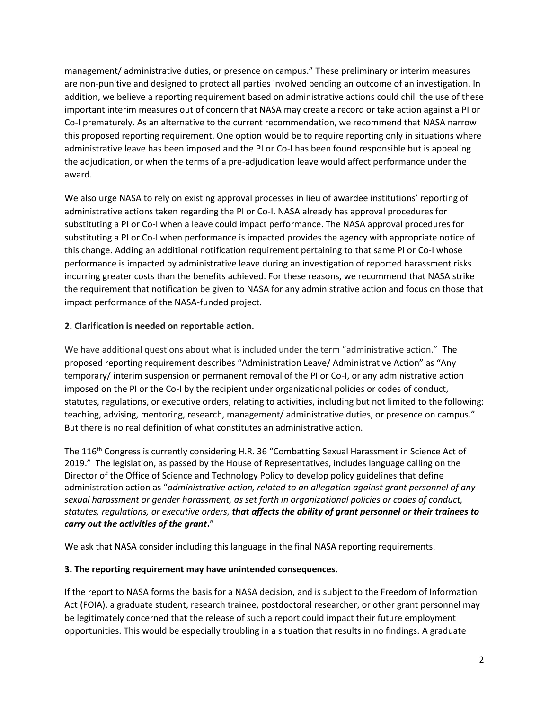management/ administrative duties, or presence on campus." These preliminary or interim measures are non-punitive and designed to protect all parties involved pending an outcome of an investigation. In addition, we believe a reporting requirement based on administrative actions could chill the use of these important interim measures out of concern that NASA may create a record or take action against a PI or Co-I prematurely. As an alternative to the current recommendation, we recommend that NASA narrow this proposed reporting requirement. One option would be to require reporting only in situations where administrative leave has been imposed and the PI or Co-I has been found responsible but is appealing the adjudication, or when the terms of a pre-adjudication leave would affect performance under the award.

We also urge NASA to rely on existing approval processes in lieu of awardee institutions' reporting of administrative actions taken regarding the PI or Co-I. NASA already has approval procedures for substituting a PI or Co-I when a leave could impact performance. The NASA approval procedures for substituting a PI or Co-I when performance is impacted provides the agency with appropriate notice of this change. Adding an additional notification requirement pertaining to that same PI or Co-I whose performance is impacted by administrative leave during an investigation of reported harassment risks incurring greater costs than the benefits achieved. For these reasons, we recommend that NASA strike the requirement that notification be given to NASA for any administrative action and focus on those that impact performance of the NASA-funded project.

# **2. Clarification is needed on reportable action.**

We have additional questions about what is included under the term "administrative action." The proposed reporting requirement describes "Administration Leave/ Administrative Action" as "Any temporary/ interim suspension or permanent removal of the PI or Co-I, or any administrative action imposed on the PI or the Co-I by the recipient under organizational policies or codes of conduct, statutes, regulations, or executive orders, relating to activities, including but not limited to the following: teaching, advising, mentoring, research, management/ administrative duties, or presence on campus." But there is no real definition of what constitutes an administrative action.

The 116<sup>th</sup> Congress is currently considering H.R. 36 "Combatting Sexual Harassment in Science Act of 2019." The legislation, as passed by the House of Representatives, includes language calling on the Director of the Office of Science and Technology Policy to develop policy guidelines that define administration action as "*administrative action, related to an allegation against grant personnel of any sexual harassment or gender harassment, as set forth in organizational policies or codes of conduct, statutes, regulations, or executive orders, that affects the ability of grant personnel or their trainees to carry out the activities of the grant***.**"

We ask that NASA consider including this language in the final NASA reporting requirements.

## **3. The reporting requirement may have unintended consequences.**

If the report to NASA forms the basis for a NASA decision, and is subject to the Freedom of Information Act (FOIA), a graduate student, research trainee, postdoctoral researcher, or other grant personnel may be legitimately concerned that the release of such a report could impact their future employment opportunities. This would be especially troubling in a situation that results in no findings. A graduate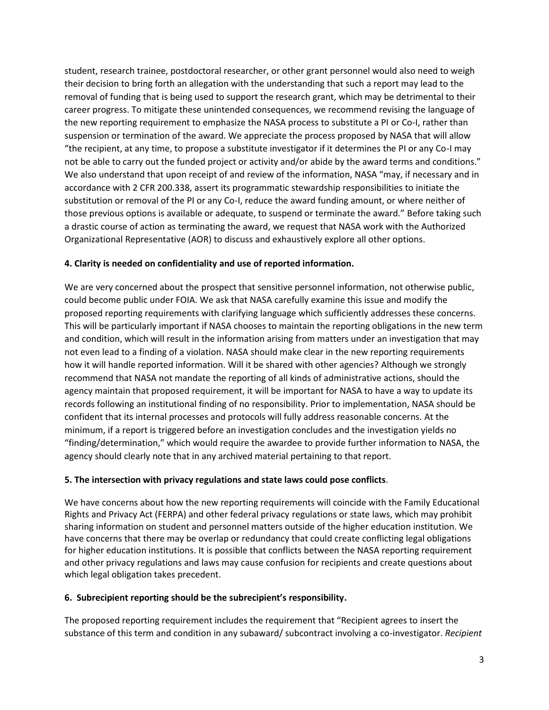student, research trainee, postdoctoral researcher, or other grant personnel would also need to weigh their decision to bring forth an allegation with the understanding that such a report may lead to the removal of funding that is being used to support the research grant, which may be detrimental to their career progress. To mitigate these unintended consequences, we recommend revising the language of the new reporting requirement to emphasize the NASA process to substitute a PI or Co-I, rather than suspension or termination of the award. We appreciate the process proposed by NASA that will allow "the recipient, at any time, to propose a substitute investigator if it determines the PI or any Co-I may not be able to carry out the funded project or activity and/or abide by the award terms and conditions." We also understand that upon receipt of and review of the information, NASA "may, if necessary and in accordance with 2 CFR 200.338, assert its programmatic stewardship responsibilities to initiate the substitution or removal of the PI or any Co-I, reduce the award funding amount, or where neither of those previous options is available or adequate, to suspend or terminate the award." Before taking such a drastic course of action as terminating the award, we request that NASA work with the Authorized Organizational Representative (AOR) to discuss and exhaustively explore all other options.

### **4. Clarity is needed on confidentiality and use of reported information.**

We are very concerned about the prospect that sensitive personnel information, not otherwise public, could become public under FOIA. We ask that NASA carefully examine this issue and modify the proposed reporting requirements with clarifying language which sufficiently addresses these concerns. This will be particularly important if NASA chooses to maintain the reporting obligations in the new term and condition, which will result in the information arising from matters under an investigation that may not even lead to a finding of a violation. NASA should make clear in the new reporting requirements how it will handle reported information. Will it be shared with other agencies? Although we strongly recommend that NASA not mandate the reporting of all kinds of administrative actions, should the agency maintain that proposed requirement, it will be important for NASA to have a way to update its records following an institutional finding of no responsibility. Prior to implementation, NASA should be confident that its internal processes and protocols will fully address reasonable concerns. At the minimum, if a report is triggered before an investigation concludes and the investigation yields no "finding/determination," which would require the awardee to provide further information to NASA, the agency should clearly note that in any archived material pertaining to that report.

### **5. The intersection with privacy regulations and state laws could pose conflicts**.

We have concerns about how the new reporting requirements will coincide with the Family Educational Rights and Privacy Act (FERPA) and other federal privacy regulations or state laws, which may prohibit sharing information on student and personnel matters outside of the higher education institution. We have concerns that there may be overlap or redundancy that could create conflicting legal obligations for higher education institutions. It is possible that conflicts between the NASA reporting requirement and other privacy regulations and laws may cause confusion for recipients and create questions about which legal obligation takes precedent.

### **6. Subrecipient reporting should be the subrecipient's responsibility.**

The proposed reporting requirement includes the requirement that "Recipient agrees to insert the substance of this term and condition in any subaward/ subcontract involving a co-investigator. *Recipient*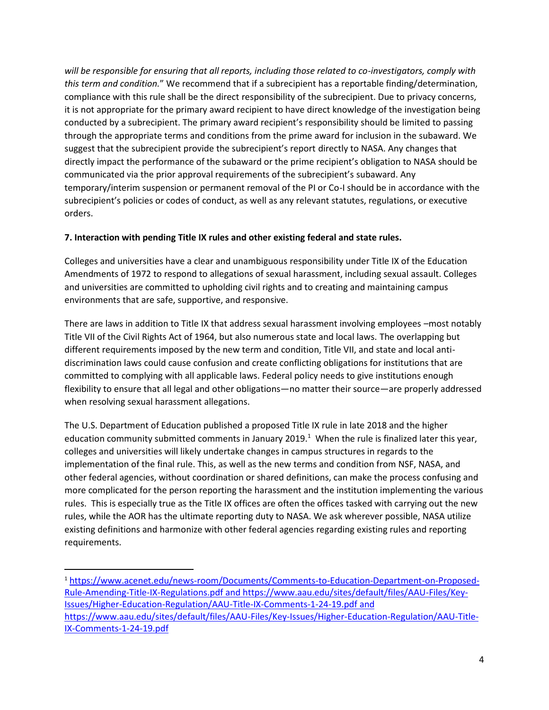*will be responsible for ensuring that all reports, including those related to co-investigators, comply with this term and condition.*" We recommend that if a subrecipient has a reportable finding/determination, compliance with this rule shall be the direct responsibility of the subrecipient. Due to privacy concerns, it is not appropriate for the primary award recipient to have direct knowledge of the investigation being conducted by a subrecipient. The primary award recipient's responsibility should be limited to passing through the appropriate terms and conditions from the prime award for inclusion in the subaward. We suggest that the subrecipient provide the subrecipient's report directly to NASA. Any changes that directly impact the performance of the subaward or the prime recipient's obligation to NASA should be communicated via the prior approval requirements of the subrecipient's subaward. Any temporary/interim suspension or permanent removal of the PI or Co-I should be in accordance with the subrecipient's policies or codes of conduct, as well as any relevant statutes, regulations, or executive orders.

### **7. Interaction with pending Title IX rules and other existing federal and state rules.**

Colleges and universities have a clear and unambiguous responsibility under Title IX of the Education Amendments of 1972 to respond to allegations of sexual harassment, including sexual assault. Colleges and universities are committed to upholding civil rights and to creating and maintaining campus environments that are safe, supportive, and responsive.

There are laws in addition to Title IX that address sexual harassment involving employees –most notably Title VII of the Civil Rights Act of 1964, but also numerous state and local laws. The overlapping but different requirements imposed by the new term and condition, Title VII, and state and local anti discrimination laws could cause confusion and create conflicting obligations for institutions that are committed to complying with all applicable laws. Federal policy needs to give institutions enough flexibility to ensure that all legal and other obligations—no matter their source—are properly addressed when resolving sexual harassment allegations.

The U.S. Department of Education published a proposed Title IX rule in late 2018 and the higher education community submitted comments in January 2019.<sup>1</sup> When the rule is finalized later this year, colleges and universities will likely undertake changes in campus structures in regards to the implementation of the final rule. This, as well as the new terms and condition from NSF, NASA, and other federal agencies, without coordination or shared definitions, can make the process confusing and more complicated for the person reporting the harassment and the institution implementing the various rules. This is especially true as the Title IX offices are often the offices tasked with carrying out the new rules, while the AOR has the ultimate reporting duty to NASA. We ask wherever possible, NASA utilize existing definitions and harmonize with other federal agencies regarding existing rules and reporting requirements.

<sup>1</sup> [https://www.acenet.edu/news-room/Documents/Comments-to-Education-Department-on-Proposed-](https://www.acenet.edu/news-room/Documents/Comments-to-Education-Department-on-Proposed-Rule-Amending-Title-IX-Regulations.pdf) [Rule-Amending-Title-IX-Regulations.pdf](https://www.acenet.edu/news-room/Documents/Comments-to-Education-Department-on-Proposed-Rule-Amending-Title-IX-Regulations.pdf) and https://www.aau.edu/sites/default/files/AAU-Files/Key-Issues/Higher-Education-Regulation/AAU-Title-IX-Comments-1-24-19.pdf and https://www.aau.edu/sites/default/files/AAU-Files/Key-Issues/Higher-Education-Regulation/AAU-Title-IX-Comments-1-24-19.pdf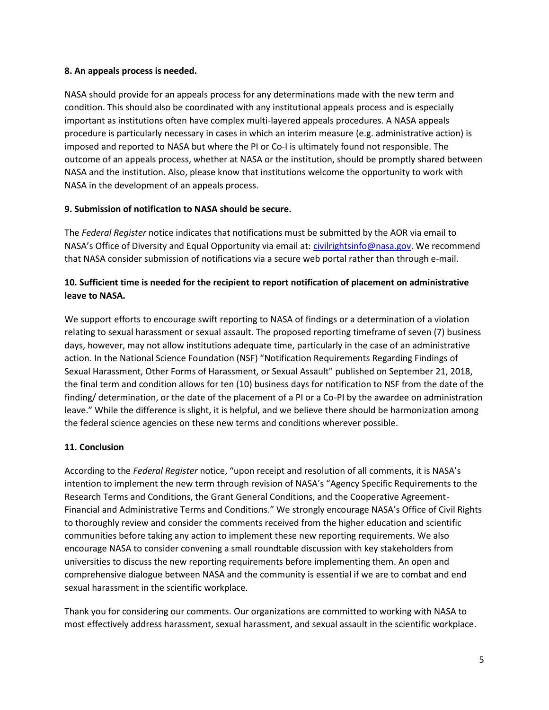### **8. An appeals process is needed.**

NASA should provide for an appeals process for any determinations made with the new term and condition. This should also be coordinated with any institutional appeals process and is especially important as institutions often have complex multi-layered appeals procedures. A NASA appeals procedure is particularly necessary in cases in which an interim measure (e.g. administrative action) is imposed and reported to NASA but where the PI or Co-I is ultimately found not responsible. The outcome of an appeals process, whether at NASA or the institution, should be promptly shared between NASA and the institution. Also, please know that institutions welcome the opportunity to work with NASA in the development of an appeals process.

## **9. Submission of notification to NASA should be secure.**

The *Federal Register* notice indicates that notifications must be submitted by the AOR via email to NASA's Office of Diversity and Equal Opportunity via email at: [civilrightsinfo@nasa.gov](mailto:civilrightsinfo@nasa.gov). We recommend that NASA consider submission of notifications via a secure web portal rather than through e-mail.

# **10. Sufficient time is needed for the recipient to report notification of placement on administrative leave to NASA.**

We support efforts to encourage swift reporting to NASA of findings or a determination of a violation relating to sexual harassment or sexual assault. The proposed reporting timeframe of seven (7) business days, however, may not allow institutions adequate time, particularly in the case of an administrative action. In the National Science Foundation (NSF) "Notification Requirements Regarding Findings of Sexual Harassment, Other Forms of Harassment, or Sexual Assault" published on September 21, 2018, the final term and condition allows for ten (10) business days for notification to NSF from the date of the finding/ determination, or the date of the placement of a PI or a Co-PI by the awardee on administration leave." While the difference is slight, it is helpful, and we believe there should be harmonization among the federal science agencies on these new terms and conditions wherever possible.

## **11. Conclusion**

According to the *Federal Register* notice, "upon receipt and resolution of all comments, it is NASA's intention to implement the new term through revision of NASA's "Agency Specific Requirements to the Research Terms and Conditions, the Grant General Conditions, and the Cooperative Agreement- Financial and Administrative Terms and Conditions." We strongly encourage NASA's Office of Civil Rights to thoroughly review and consider the comments received from the higher education and scientific communities before taking any action to implement these new reporting requirements. We also encourage NASA to consider convening a small roundtable discussion with key stakeholders from universities to discuss the new reporting requirements before implementing them. An open and comprehensive dialogue between NASA and the community is essential if we are to combat and end sexual harassment in the scientific workplace.

Thank you for considering our comments. Our organizations are committed to working with NASA to most effectively address harassment, sexual harassment, and sexual assault in the scientific workplace.